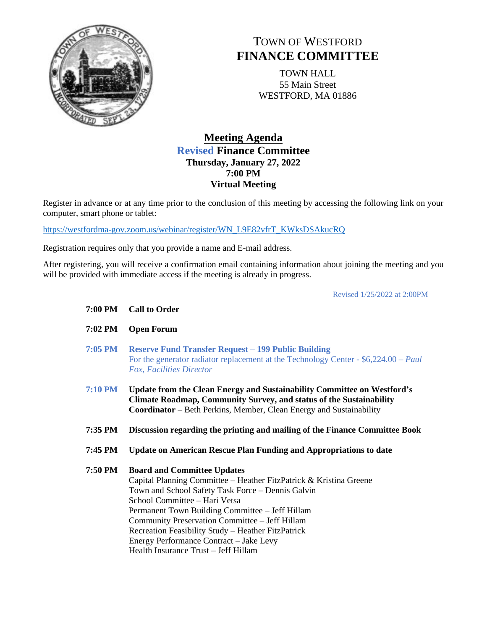

## TOWN OF WESTFORD **FINANCE COMMITTEE**

TOWN HALL 55 Main Street WESTFORD, MA 01886

## **Meeting Agenda Revised Finance Committee Thursday, January 27, 2022 7:00 PM Virtual Meeting**

Register in advance or at any time prior to the conclusion of this meeting by accessing the following link on your computer, smart phone or tablet:

[https://westfordma-gov.zoom.us/webinar/register/WN\\_L9E82vfrT\\_KWksDSAkucRQ](https://westfordma-gov.zoom.us/webinar/register/WN_L9E82vfrT_KWksDSAkucRQ)

Registration requires only that you provide a name and E-mail address.

After registering, you will receive a confirmation email containing information about joining the meeting and you will be provided with immediate access if the meeting is already in progress.

Revised 1/25/2022 at 2:00PM

| 7:00 PM        | <b>Call to Order</b>                                                                                                                                                                                                                                                                                                                                                                                                                         |
|----------------|----------------------------------------------------------------------------------------------------------------------------------------------------------------------------------------------------------------------------------------------------------------------------------------------------------------------------------------------------------------------------------------------------------------------------------------------|
| 7:02 PM        | <b>Open Forum</b>                                                                                                                                                                                                                                                                                                                                                                                                                            |
| 7:05 PM        | <b>Reserve Fund Transfer Request – 199 Public Building</b><br>For the generator radiator replacement at the Technology Center - $$6,224.00 - Paul$<br>Fox, Facilities Director                                                                                                                                                                                                                                                               |
| <b>7:10 PM</b> | Update from the Clean Energy and Sustainability Committee on Westford's<br><b>Climate Roadmap, Community Survey, and status of the Sustainability</b><br><b>Coordinator</b> – Beth Perkins, Member, Clean Energy and Sustainability                                                                                                                                                                                                          |
| 7:35 PM        | Discussion regarding the printing and mailing of the Finance Committee Book                                                                                                                                                                                                                                                                                                                                                                  |
| 7:45 PM        | Update on American Rescue Plan Funding and Appropriations to date                                                                                                                                                                                                                                                                                                                                                                            |
| 7:50 PM        | <b>Board and Committee Updates</b><br>Capital Planning Committee – Heather FitzPatrick & Kristina Greene<br>Town and School Safety Task Force - Dennis Galvin<br>School Committee - Hari Vetsa<br>Permanent Town Building Committee – Jeff Hillam<br>Community Preservation Committee - Jeff Hillam<br>Recreation Feasibility Study - Heather FitzPatrick<br>Energy Performance Contract - Jake Levy<br>Health Insurance Trust - Jeff Hillam |